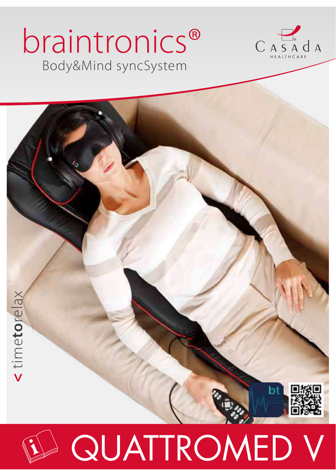# Body&Mind syncSystem braintronics®



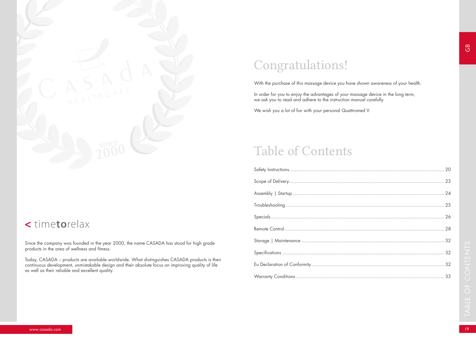

### **<** time**to**relax

Since the company was founded in the year 2000, the name CASADA has stood for high grade products in the area of wellness and fitness.

Today, CASADA – products are available worldwide. What distinguishes CASADA products is their continuous development, unmistakable design and their absolute focus on improving quality of life as well as their reliable and excellent quality.

# Congratulations!

With the purchase of this massage device you have shown awareness of your health.

In order for you to enjoy the advantages of your massage device in the long term, we ask you to read and adhere to the instruction manual carefully.

We wish you a lot of fun with your personal Quattromed V.

### Table of Contents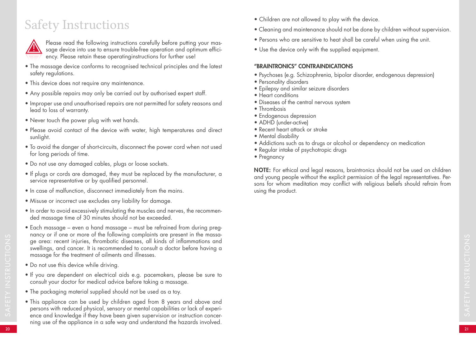# Safety Instructions



Please read the following instructions carefully before putting your massage device into use to ensure trouble-free operation and optimum efficiency. Please retain these operatinginstructions for further use!

- The massage device conforms to recognised technical principles and the latest safety regulations.
- This device does not require any maintenance.
- Any possible repairs may only be carried out by authorised expert staff.
- Improper use and unauthorised repairs are not permitted for safety reasons and lead to loss of warranty.
- Never touch the power plug with wet hands.
- Please avoid contact of the device with water, high temperatures and direct sunlight.
- To avoid the danger of short-circuits, disconnect the power cord when not used for long periods of time.
- Do not use any damaged cables, plugs or loose sockets.
- If plugs or cords are damaged, they must be replaced by the manufacturer, a service representative or by qualified personnel.
- In case of malfunction, disconnect immediately from the mains.
- Misuse or incorrect use excludes any liability for damage.
- In order to avoid excessively stimulating the muscles and nerves, the recommended massage time of 30 minutes should not be exceeded.
- Each massage even a hand massage must be refrained from during pregnancy or if one or more of the following complaints are present in the massage area: recent injuries, thrombotic diseases, all kinds of inflammations and swellings, and cancer. It is recommended to consult a doctor before having a massage for the treatment of ailments and illnesses.
- Do not use this device while driving.
- If you are dependent on electrical aids e.g. pacemakers, please be sure to consult your doctor for medical advice before taking a massage.
- The packaging material supplied should not be used as a toy.
- This appliance can be used by children aged from 8 years and above and persons with reduced physical, sensory or mental capabilities or lack of experience and knowledge if they have been given supervision or instruction concerning use of the appliance in a safe way and understand the hazards involved.
- Children are not allowed to play with the device.
- Cleaning and maintenance should not be done by children without supervision.
- Persons who are sensitive to heat shall be careful when using the unit.
- Use the device only with the supplied equipment.

### "BRAINTRONICS" CONTRAINDICATIONS

- Psychoses (e.g. Schizophrenia, bipolar disorder, endogenous depression)
- Personality disorders
- Epilepsy and similar seizure disorders
- Heart conditions
- Diseases of the central nervous system
- Thrombosis
- Endogenous depression
- ADHD (under-active)
- Recent heart attack or stroke
- Mental disability
- Addictions such as to drugs or alcohol or dependency on medication
- Regular intake of psychotropic drugs
- Pregnancy

NOTE: For ethical and legal reasons, braintronics should not be used on children and young people without the explicit permission of the legal representatives. Persons for whom meditation may conflict with religious beliefs should refrain from using the product.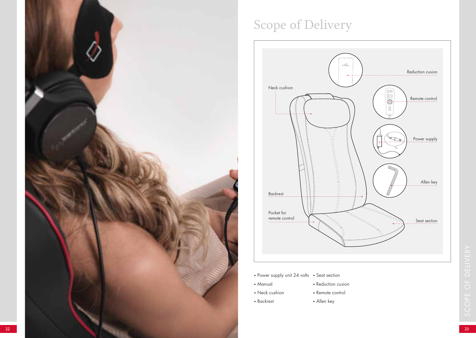

# Scope of Delivery



- Power supply unit 24 volts Seat section
- Manual
- Reduction cusion • Remote control
- Neck cushion
- Backrest
- Allen key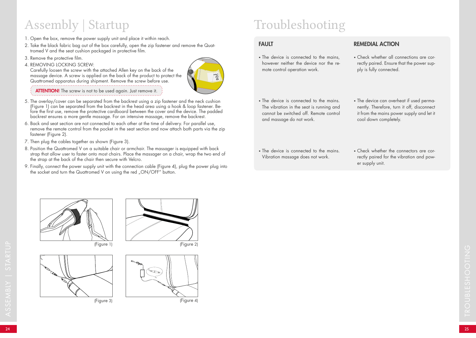# Assembly | Startup

- 1. Open the box, remove the power supply unit and place it within reach.
- 2. Take the black fabric bag out of the box carefully, open the zip fastener and remove the Quattromed V and the seat cushion packaged in protective film.
- 3. Remove the protective film.
- 4. REMOVING LOCKING SCREW:



Quattromed apparatus during shipment. Remove the screw before use. **ATTENTION!** The screw is not to be used again. Just remove it.

Carefully loosen the screw with the attached Allen key on the back of the

- 5. The overlay/cover can be separated from the backrest using a zip fastener and the neck cushion (Figure 1) can be separated from the backrest in the head area using a hook & loop fastener. Before the first use, remove the protective cardboard between the cover and the device. The padded backrest ensures a more gentle massage. For an intensive massage, remove the backrest.
- 6. Back and seat section are not connected to each other at the time of delivery. For parallel use, remove the remote control from the pocket in the seat section and now attach both parts via the zip fastener (Figure 2).
- 7. Then plug the cables together as shown (Figure 3).
- 8. Position the Quattromed V on a suitable chair or armchair. The massager is equipped with back strap that allow user to faster onto most chairs. Place the massager on a chair, wrap the two end of the strap at the back of the chair then secure with Velcro.
- 9. Finally, connect the power supply unit with the connection cable (Figure 4), plug the power plug into the socket and turn the Quattromed V on using the red "ON/OFF" button.

# Troubleshooting

### FAULT

• The device is connected to the mains. however neither the device nor the remote control operation work.

### REMEDIAL ACTION

- Check whether all connections are correctly paired. Ensure that the power supply is fully connected.
- The device is connected to the mains. The vibration in the seat is running and cannot be switched off. Remote control and massage do not work.
- The device can overheat if used permanently. Therefore, turn it off, disconnect it from the mains power supply and let it cool down completely.
- The device is connected to the mains. Vibration massage does not work.
- Check whether the connectors are correctly paired for the vibration and power supply unit.



(Figure 1)





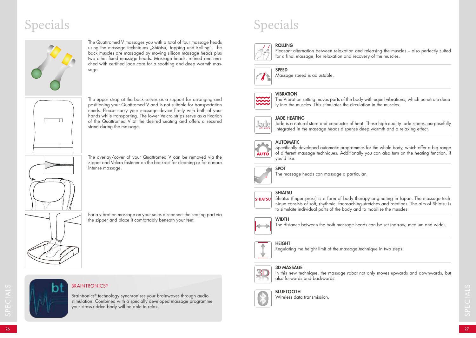# Specials



The Quattromed V massages you with a total of four massage heads using the massage techniques "Shiatsu, Tapping und Rolling". The back muscles are massaged by moving silicon massage heads plus two other fixed massage heads. Massage heads, refined and enriched with certified jade care for a soothing and deep warmth massage.



The upper strap at the back serves as a support for arranging and positioning your Quattromed V and is not suitable for transportation needs. Please carry your massage device firmly with both of your hands while transporting. The lower Velcro strips serve as a fixation of the Quattromed V at the desired seating and offers a secured stand during the massage.



The overlay/cover of your Quattromed V can be removed via the zipper and Velcro fastener on the backrest for cleaning or for a more intense massage.

For a vibration massage on your soles disconnect the seating part via the zipper and place it comfortably beneath your feet.



### **BRAINTRONICS®**

EXAINTRONICS®<br>
Braintronics® technology synchronises your brainwaves through audio<br>
stimulation. Combined with a specially developed massage programme<br>
your stress-ridden body will be able to relax.<br>
26<br>
26 Braintronics® technology synchronises your brainwaves through audio stimulation. Combined with a specially developed massage programme your stress-ridden body will be able to relax.

# Specials

#### ROLLING Pleasant alternation between relaxation and releasing the muscles – also perfectly suited for a final massage, for relaxation and recovery of the muscles.



SPEED Massage speed is adjustable.

### **VIBRATION**



The Vibration setting moves parts of the body with equal vibrations, which penetrate deeply into the muscles. This stimulates the circulation in the muscles.



#### JADE HEATING

Jade is a natural store and conductor of heat. These high-quality jade stones, purposefully integrated in the massage heads dispense deep warmth and a relaxing effect.

### AUTOMATIC



Specifically developed automatic programmes for the whole body, which offer a big range of different massage techniques. Additionally you can also turn on the heating function, if you'd like.

![](_page_5_Picture_24.jpeg)

The massage heads can massage a particular.

#### **SHIATSU**

SPOT

**SHIATSUL** 

Shiatsu (finger press) is a form of body therapy originating in Japan. The massage technique consists of soft, rhythmic, far-reaching stretches and rotations. The aim of Shiatsu is to simulate individual parts of the body and to mobilise the muscles.

### **WIDTH**

The distance between the both massage heads can be set (narrow, medium and wide).

### **HEIGHT**

Regulating the height limit of the massage technique in two steps.

### 3D MASSAGE

![](_page_5_Picture_34.jpeg)

In this new technique, the massage robot not only moves upwards and downwards, but also forwards and backwards.

![](_page_5_Picture_36.jpeg)

### BLUETOOTH

Wireless data transmission.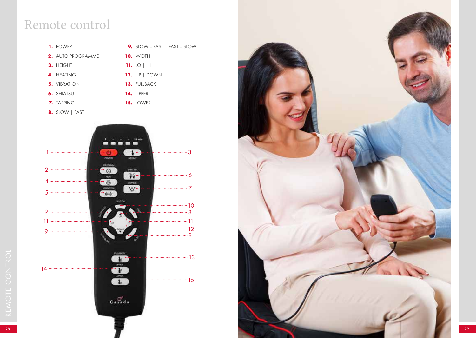### Remote control

![](_page_6_Figure_1.jpeg)

**9.** SLOW – FAST | FAST – SLOW

- **2.** AUTO PROGRAMME
- **3.** HEIGHT
- **4.** HEATING
	-
- **5.** VIBRATION
- **6.** SHIATSU

**7.** TAPPING

**13.** FULLBACK **14.** UPPER

**15.** LOWER

**10.** WIDTH **11.** LO | HI **12.** UP | DOWN

- 
- **8.** SLOW | FAST

![](_page_6_Figure_12.jpeg)

![](_page_6_Picture_13.jpeg)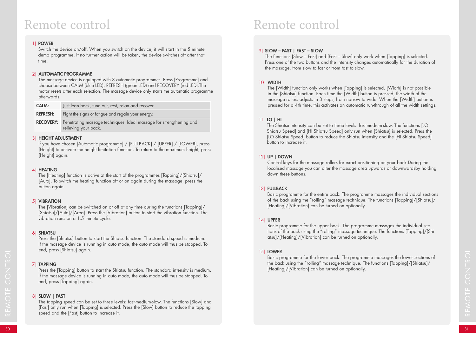### Remote control

### 1| POWER

Switch the device on/off. When you switch on the device, it will start in the 5 minute demo programme. If no further action will be taken, the device switches off after that time.

### 2| AUTOMATIC PROGRAMME

The massage device is equipped with 3 automatic programmes. Press [Programme] and choose between CALM (blue LED), REFRESH (green LED) and RECOVERY (red LED).The motor resets after each selection. The massage device only starts the automatic programme afterwards.

| <b>CALM:</b>     | Just lean back, tune out, rest, relax and recover.                                          |
|------------------|---------------------------------------------------------------------------------------------|
| <b>REFRESH:</b>  | Fight the signs of fatigue and regain your energy.                                          |
| <b>RECOVERY:</b> | Penetrating massage techniques. Ideal massage for strengthening and<br>relieving your back. |

### 3| HEIGHT ADJUSTMENT

If you have chosen [Automatic programme] / [FULLBACK] / [UPPER] / [LOWER], press [Height] to activate the height limitation function. To return to the maximum height, press [Height] again.

### 4| HEATING

The [Heating] function is active at the start of the programmes [Tapping]/[Shiatsu]/ [Auto]. To switch the heating function off or on again during the massage, press the button again.

### 5| VIBRATION

The [Vibration] can be switched on or off at any time during the functions [Tapping]/ [Shiatsu]/[Auto]/[Area]. Press the [Vibration] button to start the vibration function. The vibration runs on a 1.5 minute cycle.

### 6| SHIATSU

Press the [Shiatsu] button to start the Shiatsu function. The standard speed is medium. If the massage device is running in auto mode, the auto mode will thus be stopped. To end, press [Shiatsu] again.

### 7| TAPPING

Press the [Tapping] button to start the Shiatsu function. The standard intensity is medium. If the massage device is running in auto mode, the auto mode will thus be stopped. To end, press [Tapping] again.

### 8| SLOW | FAST

<sup>30</sup> <sup>31</sup> REMOTE CONTROL The tapping speed can be set to three levels: fast-medium-slow. The functions [Slow] and [Fast] only run when [Tapping] is selected. Press the [Slow] button to reduce the tapping speed and the [Fast] button to increase it.

## Remote control

### 9| SLOW – FAST | FAST – SLOW

The functions [Slow – Fast] and [Fast – Slow] only work when [Tapping] is selected. Press one of the two buttons and the intensity changes automatically for the duration of the massage, from slow to fast or from fast to slow.

### 10| WIDTH

The [Width] function only works when [Tapping] is selected. [Width] is not possible in the [Shiatsu] function. Each time the [Width] button is pressed, the width of the massage rollers adjusts in 3 steps, from narrow to wide. When the [Width] button is pressed for a 4th time, this activates an automatic run-through of all the width settings.

### 11| LO | HI

The Shiatsu intensity can be set to three levels: fast-medium-slow. The functions [LO Shiatsu Speed] and [HI Shiatsu Speed] only run when [Shiatsu] is selected. Press the [LO Shiatsu Speed] button to reduce the Shiatsu intensity and the [HI Shiatsu Speed] button to increase it.

### 12| UP | DOWN

Control keys for the massage rollers for exact positioning on your back.During the localised massage you can alter the massage area upwards or downwardsby holding down these buttons.

### 13| FULLBACK

Basic programme for the entire back. The programme massages the individual sections of the back using the "rolling" massage technique. The functions [Tapping]/[Shiatsu]/ [Heating]/[Vibration] can be turned on optionally.

### 14| UPPER

Basic programme for the upper back. The programme massages the individual sections of the back using the "rolling" massage technique. The functions [Tapping]/[Shiatsu]/[Heating]/[Vibration] can be turned on optionally.

### 15| LOWER

Basic programme for the lower back. The programme massages the lower sections of the back using the "rolling" massage technique. The functions [Tapping]/[Shiatsu]/ [Heating]/[Vibration] can be turned on optionally.

REMOTE CONTROL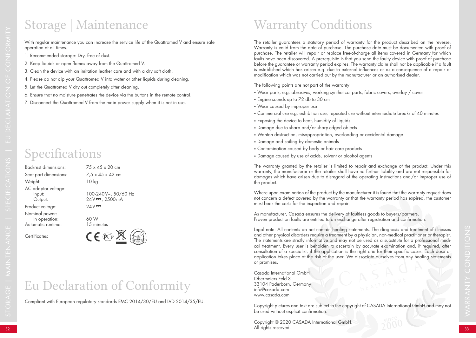## Storage | Maintenance Warranty Conditions

With regular maintenance you can increase the service life of the Quattromed V and ensure safe operation at all times.

- 1. Recommended storage: Dry, free of dust.
- 2. Keep liquids or open flames away from the Quattromed V.
- 3. Clean the device with an imitation leather care and with a dry soft cloth.
- 4. Please do not dip your Quattromed V into water or other liquids during cleaning.
- 5. Let the Quattromed V dry out completely after cleaning.
- 6. Ensure that no moisture penetrates the device via the buttons in the remote control.
- 7. Disconnect the Quattromed V from the main power supply when it is not in use.

# Specifications

Backrest dimensions: 75 x 45 x 20 cm Weight: 10 kg AC adaptor voltage: Product voltage: 24V<sup>---</sup> Nominal power: In operation: 60 W<br>
In operation: 60 W<br>
In the system of the system of the system of the system of the system of the system of the system of the system of the system of the system of the system of the system of the system Automatic runtime:

Seat part dimensions:  $7.5 \times 45 \times 42$  cm Input: 100-240 V~, 50/60 Hz<br>Output: 24 V<sup>---</sup>, 2500 mA  $24V = 2500mA$ 

Certificates:

![](_page_8_Picture_14.jpeg)

# Eu Declaration of Conformity

Compliant with European regulatory standards EMC 2014/30/EU and LVD 2014/35/EU.

The retailer guarantees a statutory period of warranty for the product described on the reverse. Warranty is valid from the date of purchase. The purchase date must be documented with proof of purchase. The retailer will repair or replace free-of-charge all items covered in Germany for which faults have been discovered. A prerequisite is that you send the faulty device with proof of purchase before the guarantee or warranty period expires. The warranty claim shall not be applicable if a fault is established which has arisen e.g. due to external influences or as a consequence of a repair or modification which was not carried out by the manufacturer or an authorised dealer.

The following points are not part of the warranty:

- Wear parts, e.g. abrasives, working synthetical parts, fabric covers, overlay / cover
- Engine sounds up to 72 db to 30 cm
- Wear caused by improper use
- Commercial use e.g. exhibition use, repeated use without intermediate breaks of 40 minutes
- Exposing the device to heat, humidity of liquids
- Damage due to sharp and/or sharp-edged objects
- Wanton destruction, misappropriation, overloading or accidental damage
- Damage and soiling by domestic animals
- Contamination caused by body or hair care products
- Damage caused by use of acids, solvent or alcohol agents

The warranty granted by the retailer is limited to repair and exchange of the product. Under this warranty, the manufacturer or the retailer shall have no further liability and are not responsible for damages which have arisen due to disregard of the operating instructions and/or improper use of the product.

Where upon examination of the product by the manufacturer it is found that the warranty request does not concern a defect covered by the warranty or that the warranty period has expired, the customer must bear the costs for the inspection and repair.

As manufacturer, Casada ensures the delivery of faultless goods to buyers/partners. Proven production faults are entitled to an exchange after registration and confirmation.

Legal note: All contents do not contain healing statements. The diagnosis and treatment of illnesses and other physical disorders require a treatment by a physician, non-medical practitioner or therapist. The statements are strictly informative and may not be used as a substitute for a professional medical treatment. Every user is beholden to ascertain by accurate examination and, if required, after consultation of a specialist, if the application is the right one for their specific cases. Each dose or application takes place at the risk of the user. We dissociate ourselves from any healing statements or promises.

Casada International GmbH Obermeiers Feld 3 33104 Paderborn, Germany info@casada.com www.casada.com

Copyright pictures and text are subject to the copyright of CASADA International GmbH and may not be used without explicit confirmation.

 $\blacksquare$  33  $\blacksquare$  33  $\blacksquare$  33  $\blacksquare$  33  $\blacksquare$  33  $\blacksquare$  33  $\blacksquare$   $\blacksquare$   $\blacksquare$   $\blacksquare$   $\blacksquare$   $\blacksquare$   $\blacksquare$   $\blacksquare$   $\blacksquare$   $\blacksquare$   $\blacksquare$   $\blacksquare$   $\blacksquare$   $\blacksquare$   $\blacksquare$   $\blacksquare$   $\blacksquare$   $\blacksquare$   $\blacksquare$   $\blacksquare$   $\blacksquare$   $\blacksquare$   $\blacksquare$  Copyright © 2020 CASADA International GmbH. All rights reserved.